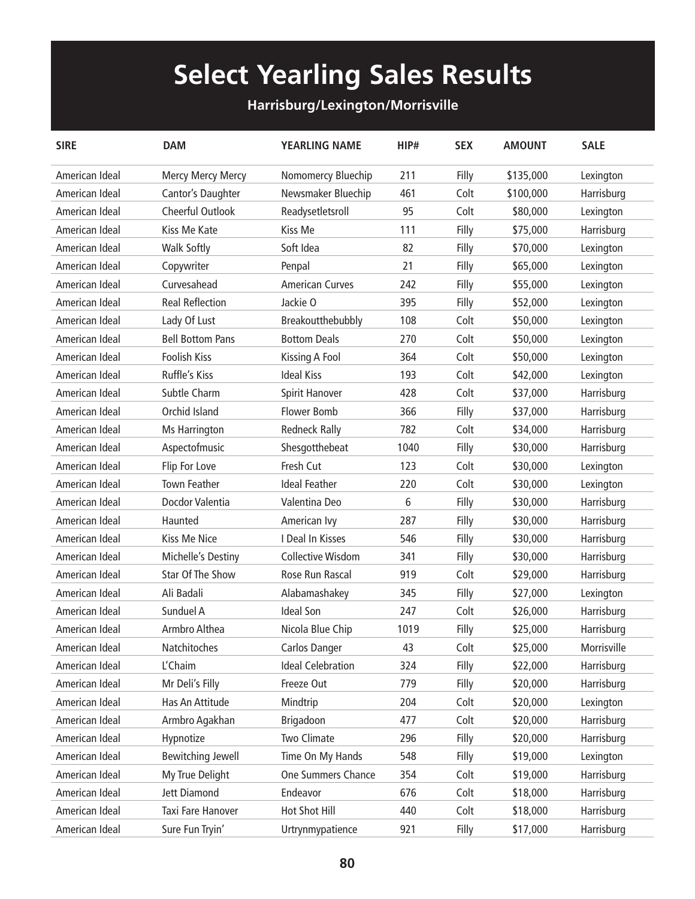## **Select Yearling Sales Results**

## **Harrisburg/Lexington/Morrisville**

| <b>SIRE</b>    | <b>DAM</b>               | <b>YEARLING NAME</b>     | HIP# | <b>SEX</b> | <b>AMOUNT</b> | <b>SALE</b> |
|----------------|--------------------------|--------------------------|------|------------|---------------|-------------|
| American Ideal | Mercy Mercy Mercy        | Nomomercy Bluechip       | 211  | Filly      | \$135,000     | Lexington   |
| American Ideal | Cantor's Daughter        | Newsmaker Bluechip       | 461  | Colt       | \$100,000     | Harrisburg  |
| American Ideal | Cheerful Outlook         | Readysetletsroll         | 95   | Colt       | \$80,000      | Lexington   |
| American Ideal | Kiss Me Kate             | Kiss Me                  | 111  | Filly      | \$75,000      | Harrisburg  |
| American Ideal | <b>Walk Softly</b>       | Soft Idea                | 82   | Filly      | \$70,000      | Lexington   |
| American Ideal | Copywriter               | Penpal                   | 21   | Filly      | \$65,000      | Lexington   |
| American Ideal | Curvesahead              | <b>American Curves</b>   | 242  | Filly      | \$55,000      | Lexington   |
| American Ideal | <b>Real Reflection</b>   | Jackie O                 | 395  | Filly      | \$52,000      | Lexington   |
| American Ideal | Lady Of Lust             | Breakoutthebubbly        | 108  | Colt       | \$50,000      | Lexington   |
| American Ideal | <b>Bell Bottom Pans</b>  | <b>Bottom Deals</b>      | 270  | Colt       | \$50,000      | Lexington   |
| American Ideal | Foolish Kiss             | Kissing A Fool           | 364  | Colt       | \$50,000      | Lexington   |
| American Ideal | Ruffle's Kiss            | <b>Ideal Kiss</b>        | 193  | Colt       | \$42,000      | Lexington   |
| American Ideal | Subtle Charm             | Spirit Hanover           | 428  | Colt       | \$37,000      | Harrisburg  |
| American Ideal | Orchid Island            | <b>Flower Bomb</b>       | 366  | Filly      | \$37,000      | Harrisburg  |
| American Ideal | Ms Harrington            | <b>Redneck Rally</b>     | 782  | Colt       | \$34,000      | Harrisburg  |
| American Ideal | Aspectofmusic            | Shesgotthebeat           | 1040 | Filly      | \$30,000      | Harrisburg  |
| American Ideal | Flip For Love            | Fresh Cut                | 123  | Colt       | \$30,000      | Lexington   |
| American Ideal | <b>Town Feather</b>      | <b>Ideal Feather</b>     | 220  | Colt       | \$30,000      | Lexington   |
| American Ideal | Docdor Valentia          | Valentina Deo            | 6    | Filly      | \$30,000      | Harrisburg  |
| American Ideal | Haunted                  | American Ivy             | 287  | Filly      | \$30,000      | Harrisburg  |
| American Ideal | Kiss Me Nice             | I Deal In Kisses         | 546  | Filly      | \$30,000      | Harrisburg  |
| American Ideal | Michelle's Destiny       | <b>Collective Wisdom</b> | 341  | Filly      | \$30,000      | Harrisburg  |
| American Ideal | <b>Star Of The Show</b>  | Rose Run Rascal          | 919  | Colt       | \$29,000      | Harrisburg  |
| American Ideal | Ali Badali               | Alabamashakey            | 345  | Filly      | \$27,000      | Lexington   |
| American Ideal | Sunduel A                | <b>Ideal Son</b>         | 247  | Colt       | \$26,000      | Harrisburg  |
| American Ideal | Armbro Althea            | Nicola Blue Chip         | 1019 | Filly      | \$25,000      | Harrisburg  |
| American Ideal | Natchitoches             | <b>Carlos Danger</b>     | 43   | Colt       | \$25,000      | Morrisville |
| American Ideal | L'Chaim                  | <b>Ideal Celebration</b> | 324  | Filly      | \$22,000      | Harrisburg  |
| American Ideal | Mr Deli's Filly          | Freeze Out               | 779  | Filly      | \$20,000      | Harrisburg  |
| American Ideal | Has An Attitude          | Mindtrip                 | 204  | Colt       | \$20,000      | Lexington   |
| American Ideal | Armbro Agakhan           | Brigadoon                | 477  | Colt       | \$20,000      | Harrisburg  |
| American Ideal | Hypnotize                | Two Climate              | 296  | Filly      | \$20,000      | Harrisburg  |
| American Ideal | <b>Bewitching Jewell</b> | Time On My Hands         | 548  | Filly      | \$19,000      | Lexington   |
| American Ideal | My True Delight          | One Summers Chance       | 354  | Colt       | \$19,000      | Harrisburg  |
| American Ideal | <b>Jett Diamond</b>      | Endeavor                 | 676  | Colt       | \$18,000      | Harrisburg  |
| American Ideal | Taxi Fare Hanover        | Hot Shot Hill            | 440  | Colt       | \$18,000      | Harrisburg  |
| American Ideal | Sure Fun Tryin'          | Urtrynmypatience         | 921  | Filly      | \$17,000      | Harrisburg  |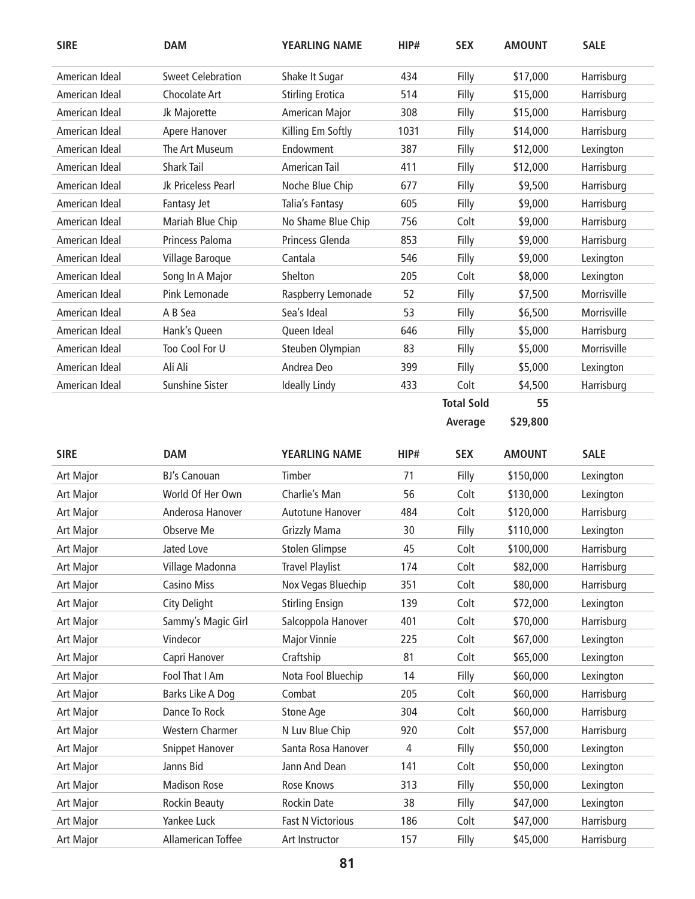| <b>SIRE</b>      | <b>DAM</b>               | <b>YEARLING NAME</b>     | HIP#           | <b>SEX</b>        | <b>AMOUNT</b> | <b>SALE</b> |
|------------------|--------------------------|--------------------------|----------------|-------------------|---------------|-------------|
| American Ideal   | <b>Sweet Celebration</b> | Shake It Sugar           | 434            | Filly             | \$17,000      | Harrisburg  |
| American Ideal   | Chocolate Art            | <b>Stirling Erotica</b>  | 514            | Filly             | \$15,000      | Harrisburg  |
| American Ideal   | Jk Majorette             | American Major           | 308            | Filly             | \$15,000      | Harrisburg  |
| American Ideal   | Apere Hanover            | Killing Em Softly        | 1031           | Filly             | \$14,000      | Harrisburg  |
| American Ideal   | The Art Museum           | Endowment                | 387            | Filly             | \$12,000      | Lexington   |
| American Ideal   | Shark Tail               | American Tail            | 411            | Filly             | \$12,000      | Harrisburg  |
| American Ideal   | Jk Priceless Pearl       | Noche Blue Chip          | 677            | Filly             | \$9,500       | Harrisburg  |
| American Ideal   | Fantasy Jet              | Talia's Fantasy          | 605            | Filly             | \$9,000       | Harrisburg  |
| American Ideal   | Mariah Blue Chip         | No Shame Blue Chip       | 756            | Colt              | \$9,000       | Harrisburg  |
| American Ideal   | Princess Paloma          | Princess Glenda          | 853            | Filly             | \$9,000       | Harrisburg  |
| American Ideal   | Village Baroque          | Cantala                  | 546            | Filly             | \$9,000       | Lexington   |
| American Ideal   | Song In A Major          | Shelton                  | 205            | Colt              | \$8,000       | Lexington   |
| American Ideal   | Pink Lemonade            | Raspberry Lemonade       | 52             | Filly             | \$7,500       | Morrisville |
| American Ideal   | A B Sea                  | Sea's Ideal              | 53             | Filly             | \$6,500       | Morrisville |
| American Ideal   | Hank's Queen             | Queen Ideal              | 646            | Filly             | \$5,000       | Harrisburg  |
| American Ideal   | Too Cool For U           | Steuben Olympian         | 83             | Filly             | \$5,000       | Morrisville |
| American Ideal   | Ali Ali                  | Andrea Deo               | 399            | Filly             | \$5,000       | Lexington   |
| American Ideal   | <b>Sunshine Sister</b>   | <b>Ideally Lindy</b>     | 433            | Colt              | \$4,500       | Harrisburg  |
|                  |                          |                          |                | <b>Total Sold</b> | 55            |             |
|                  |                          |                          |                | Average           | \$29,800      |             |
|                  |                          |                          |                |                   |               |             |
| <b>SIRE</b>      | <b>DAM</b>               | <b>YEARLING NAME</b>     | HIP#           | <b>SEX</b>        | <b>AMOUNT</b> | <b>SALE</b> |
| Art Major        | <b>BJ's Canouan</b>      | Timber                   | 71             | Filly             | \$150,000     | Lexington   |
| Art Major        | World Of Her Own         | Charlie's Man            | 56             | Colt              | \$130,000     | Lexington   |
| Art Major        | Anderosa Hanover         | Autotune Hanover         | 484            | Colt              | \$120,000     | Harrisburg  |
| Art Major        | Observe Me               | <b>Grizzly Mama</b>      | 30             | Filly             | \$110,000     | Lexington   |
| Art Major        | Jated Love               | <b>Stolen Glimpse</b>    | 45             | Colt              | \$100,000     | Harrisburg  |
| Art Major        | Village Madonna          | <b>Travel Playlist</b>   | 174            | Colt              | \$82,000      | Harrisburg  |
| <b>Art Major</b> | <b>Casino Miss</b>       | Nox Vegas Bluechip       | 351            | Colt              | \$80,000      | Harrisburg  |
| Art Major        | City Delight             | <b>Stirling Ensign</b>   | 139            | Colt              | \$72,000      | Lexington   |
| Art Major        | Sammy's Magic Girl       | Salcoppola Hanover       | 401            | Colt              | \$70,000      | Harrisburg  |
| <b>Art Major</b> | Vindecor                 | <b>Major Vinnie</b>      | 225            | Colt              | \$67,000      | Lexington   |
| Art Major        | Capri Hanover            | Craftship                | 81             | Colt              | \$65,000      | Lexington   |
| Art Major        | Fool That I Am           | Nota Fool Bluechip       | 14             | Filly             | \$60,000      | Lexington   |
| Art Major        | Barks Like A Dog         | Combat                   | 205            | Colt              | \$60,000      | Harrisburg  |
| Art Major        | Dance To Rock            | Stone Age                | 304            | Colt              | \$60,000      | Harrisburg  |
| Art Major        | Western Charmer          | N Luv Blue Chip          | 920            | Colt              | \$57,000      | Harrisburg  |
| Art Major        | Snippet Hanover          | Santa Rosa Hanover       | $\overline{4}$ | Filly             | \$50,000      | Lexington   |
| Art Major        | Janns Bid                | Jann And Dean            | 141            | Colt              | \$50,000      | Lexington   |
| Art Major        | <b>Madison Rose</b>      | Rose Knows               | 313            | Filly             | \$50,000      | Lexington   |
| Art Major        | <b>Rockin Beauty</b>     | Rockin Date              | 38             | Filly             | \$47,000      | Lexington   |
| Art Major        | Yankee Luck              | <b>Fast N Victorious</b> | 186            | Colt              | \$47,000      | Harrisburg  |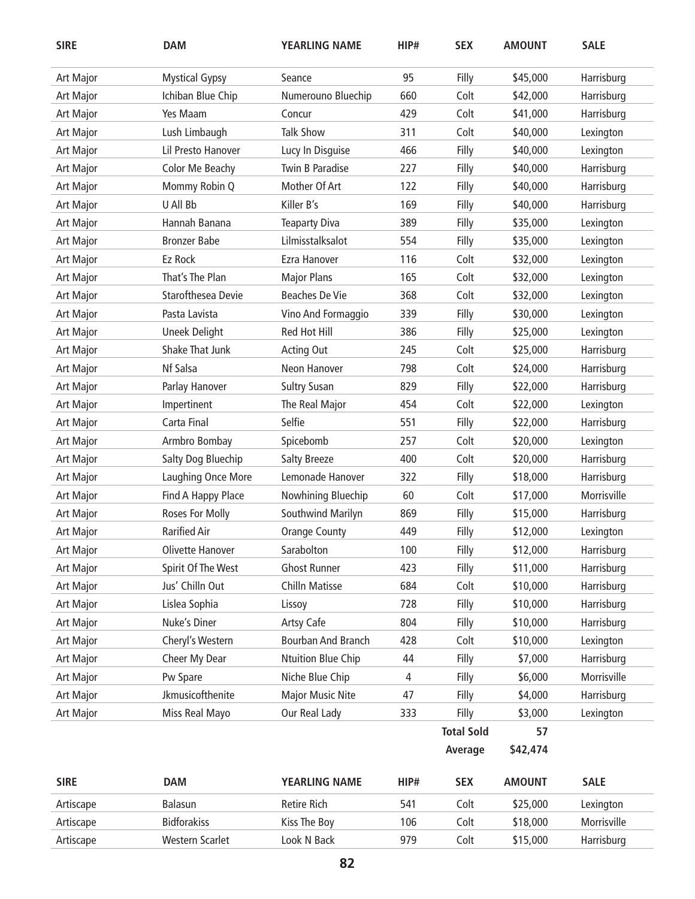| <b>SIRE</b> | <b>DAM</b>                | <b>YEARLING NAME</b>    | HIP# | <b>SEX</b>        | <b>AMOUNT</b> | <b>SALE</b> |
|-------------|---------------------------|-------------------------|------|-------------------|---------------|-------------|
| Art Major   | <b>Mystical Gypsy</b>     | Seance                  | 95   | Filly             | \$45,000      | Harrisburg  |
| Art Major   | Ichiban Blue Chip         | Numerouno Bluechip      | 660  | Colt              | \$42,000      | Harrisburg  |
| Art Major   | Yes Maam                  | Concur                  | 429  | Colt              | \$41,000      | Harrisburg  |
| Art Major   | Lush Limbaugh             | <b>Talk Show</b>        | 311  | Colt              | \$40,000      | Lexington   |
| Art Major   | Lil Presto Hanover        | Lucy In Disguise        | 466  | Filly             | \$40,000      | Lexington   |
| Art Major   | Color Me Beachy           | Twin B Paradise         | 227  | Filly             | \$40,000      | Harrisburg  |
| Art Major   | Mommy Robin Q             | Mother Of Art           | 122  | Filly             | \$40,000      | Harrisburg  |
| Art Major   | U All Bb                  | Killer B's              | 169  | Filly             | \$40,000      | Harrisburg  |
| Art Major   | Hannah Banana             | <b>Teaparty Diva</b>    | 389  | Filly             | \$35,000      | Lexington   |
| Art Major   | <b>Bronzer Babe</b>       | Lilmisstalksalot        | 554  | Filly             | \$35,000      | Lexington   |
| Art Major   | Ez Rock                   | Ezra Hanover            | 116  | Colt              | \$32,000      | Lexington   |
| Art Major   | That's The Plan           | <b>Major Plans</b>      | 165  | Colt              | \$32,000      | Lexington   |
| Art Major   | <b>Starofthesea Devie</b> | <b>Beaches De Vie</b>   | 368  | Colt              | \$32,000      | Lexington   |
| Art Major   | Pasta Lavista             | Vino And Formaggio      | 339  | Filly             | \$30,000      | Lexington   |
| Art Major   | <b>Uneek Delight</b>      | Red Hot Hill            | 386  | Filly             | \$25,000      | Lexington   |
| Art Major   | Shake That Junk           | <b>Acting Out</b>       | 245  | Colt              | \$25,000      | Harrisburg  |
| Art Major   | Nf Salsa                  | Neon Hanover            | 798  | Colt              | \$24,000      | Harrisburg  |
| Art Major   | Parlay Hanover            | <b>Sultry Susan</b>     | 829  | Filly             | \$22,000      | Harrisburg  |
| Art Major   | Impertinent               | The Real Major          | 454  | Colt              | \$22,000      | Lexington   |
| Art Major   | Carta Final               | Selfie                  | 551  | Filly             | \$22,000      | Harrisburg  |
| Art Major   | Armbro Bombay             | Spicebomb               | 257  | Colt              | \$20,000      | Lexington   |
| Art Major   | Salty Dog Bluechip        | <b>Salty Breeze</b>     | 400  | Colt              | \$20,000      | Harrisburg  |
| Art Major   | Laughing Once More        | Lemonade Hanover        | 322  | Filly             | \$18,000      | Harrisburg  |
| Art Major   | Find A Happy Place        | Nowhining Bluechip      | 60   | Colt              | \$17,000      | Morrisville |
| Art Major   | Roses For Molly           | Southwind Marilyn       | 869  | Filly             | \$15,000      | Harrisburg  |
| Art Major   | <b>Rarified Air</b>       | <b>Orange County</b>    | 449  | Filly             | \$12,000      | Lexington   |
| Art Major   | Olivette Hanover          | Sarabolton              | 100  | Filly             | \$12,000      | Harrisburg  |
| Art Major   | Spirit Of The West        | <b>Ghost Runner</b>     | 423  | Filly             | \$11,000      | Harrisburg  |
| Art Major   | Jus' Chilln Out           | <b>Chilln Matisse</b>   | 684  | Colt              | \$10,000      | Harrisburg  |
| Art Major   | Lislea Sophia             | Lissoy                  | 728  | Filly             | \$10,000      | Harrisburg  |
| Art Major   | Nuke's Diner              | Artsy Cafe              | 804  | Filly             | \$10,000      | Harrisburg  |
| Art Major   | Cheryl's Western          | Bourban And Branch      | 428  | Colt              | \$10,000      | Lexington   |
| Art Major   | Cheer My Dear             | Ntuition Blue Chip      | 44   | Filly             | \$7,000       | Harrisburg  |
| Art Major   | Pw Spare                  | Niche Blue Chip         | 4    | Filly             | \$6,000       | Morrisville |
| Art Major   | Jkmusicofthenite          | <b>Major Music Nite</b> | 47   | Filly             | \$4,000       | Harrisburg  |
| Art Major   | Miss Real Mayo            | Our Real Lady           | 333  | Filly             | \$3,000       | Lexington   |
|             |                           |                         |      | <b>Total Sold</b> | 57            |             |
|             |                           |                         |      | Average           | \$42,474      |             |
| <b>SIRE</b> | <b>DAM</b>                | YEARLING NAME           | HIP# | <b>SEX</b>        | <b>AMOUNT</b> | <b>SALE</b> |
| Artiscape   | Balasun                   | Retire Rich             | 541  | Colt              | \$25,000      | Lexington   |
| Artiscape   | <b>Bidforakiss</b>        | Kiss The Boy            | 106  | Colt              | \$18,000      | Morrisville |
| Artiscape   | Western Scarlet           | Look N Back             | 979  | Colt              | \$15,000      | Harrisburg  |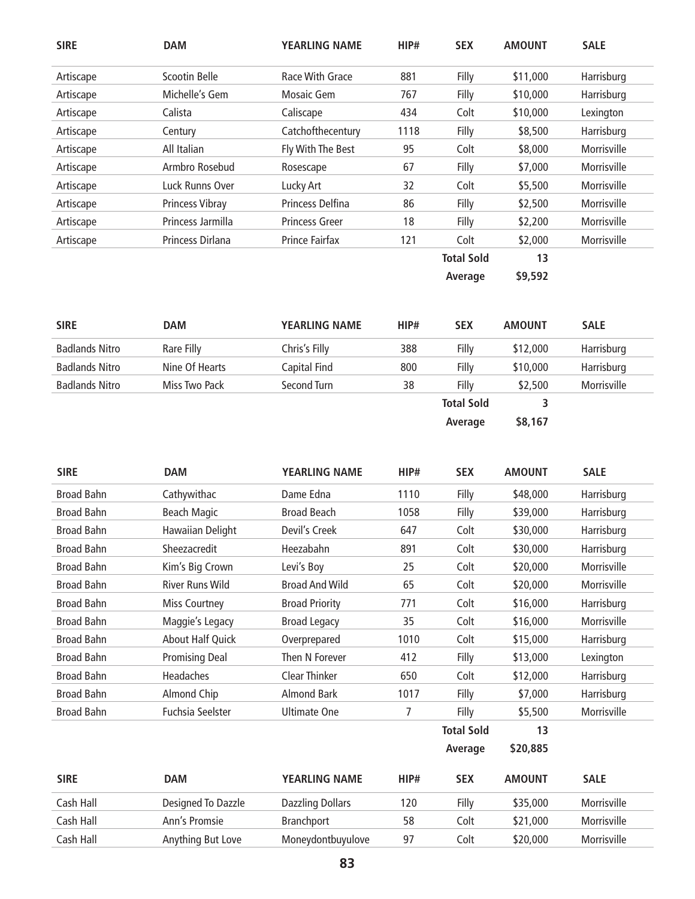| <b>SIRE</b> | <b>DAM</b>             | <b>YEARLING NAME</b>  | HIP# | <b>SEX</b>        | <b>AMOUNT</b> | <b>SALE</b>        |
|-------------|------------------------|-----------------------|------|-------------------|---------------|--------------------|
| Artiscape   | Scootin Belle          | Race With Grace       | 881  | Filly             | \$11,000      | Harrisburg         |
| Artiscape   | Michelle's Gem         | Mosaic Gem            | 767  | Filly             | \$10,000      | Harrisburg         |
| Artiscape   | Calista                | Caliscape             | 434  | Colt              | \$10,000      | Lexington          |
| Artiscape   | Century                | Catchofthecentury     | 1118 | Filly             | \$8,500       | Harrisburg         |
| Artiscape   | All Italian            | Fly With The Best     | 95   | Colt              | \$8,000       | Morrisville        |
| Artiscape   | Armbro Rosebud         | Rosescape             | 67   | Filly             | \$7,000       | Morrisville        |
| Artiscape   | Luck Runns Over        | Lucky Art             | 32   | Colt              | \$5,500       | <b>Morrisville</b> |
| Artiscape   | <b>Princess Vibray</b> | Princess Delfina      | 86   | Filly             | \$2,500       | Morrisville        |
| Artiscape   | Princess Jarmilla      | <b>Princess Greer</b> | 18   | Filly             | \$2,200       | <b>Morrisville</b> |
| Artiscape   | Princess Dirlana       | Prince Fairfax        | 121  | Colt              | \$2,000       | Morrisville        |
|             |                        |                       |      | <b>Total Sold</b> | 13            |                    |
|             |                        |                       |      | Average           | \$9,592       |                    |

| <b>SIRE</b>           | <b>DAM</b>     | <b>YEARLING NAME</b> | HIP# | <b>SEX</b>        | <b>AMOUNT</b> | <b>SALE</b> |
|-----------------------|----------------|----------------------|------|-------------------|---------------|-------------|
| <b>Badlands Nitro</b> | Rare Filly     | Chris's Filly        | 388  | Filly             | \$12,000      | Harrisburg  |
| <b>Badlands Nitro</b> | Nine Of Hearts | Capital Find         | 800  | Filly             | \$10,000      | Harrisburg  |
| <b>Badlands Nitro</b> | Miss Two Pack  | Second Turn          | 38   | Filly             | \$2,500       | Morrisville |
|                       |                |                      |      | <b>Total Sold</b> |               |             |
|                       |                |                      |      | Average           | \$8,167       |             |

| <b>SIRE</b>       | <b>DAM</b>              | <b>YEARLING NAME</b>    | HIP# | <b>SEX</b>        | <b>AMOUNT</b> | <b>SALE</b> |
|-------------------|-------------------------|-------------------------|------|-------------------|---------------|-------------|
| <b>Broad Bahn</b> | Cathywithac             | Dame Edna               | 1110 | Filly             | \$48,000      | Harrisburg  |
| <b>Broad Bahn</b> | Beach Magic             | <b>Broad Beach</b>      | 1058 | Filly             | \$39,000      | Harrisburg  |
| <b>Broad Bahn</b> | Hawaiian Delight        | Devil's Creek           | 647  | Colt              | \$30,000      | Harrisburg  |
| <b>Broad Bahn</b> | Sheezacredit            | Heezabahn               | 891  | Colt              | \$30,000      | Harrisburg  |
| <b>Broad Bahn</b> | Kim's Big Crown         | Levi's Boy              | 25   | Colt              | \$20,000      | Morrisville |
| <b>Broad Bahn</b> | <b>River Runs Wild</b>  | <b>Broad And Wild</b>   | 65   | Colt              | \$20,000      | Morrisville |
| <b>Broad Bahn</b> | <b>Miss Courtney</b>    | <b>Broad Priority</b>   | 771  | Colt              | \$16,000      | Harrisburg  |
| <b>Broad Bahn</b> | Maggie's Legacy         | <b>Broad Legacy</b>     | 35   | Colt              | \$16,000      | Morrisville |
| <b>Broad Bahn</b> | <b>About Half Quick</b> | Overprepared            | 1010 | Colt              | \$15,000      | Harrisburg  |
| <b>Broad Bahn</b> | <b>Promising Deal</b>   | Then N Forever          | 412  | Filly             | \$13,000      | Lexington   |
| <b>Broad Bahn</b> | Headaches               | <b>Clear Thinker</b>    | 650  | Colt              | \$12,000      | Harrisburg  |
| <b>Broad Bahn</b> | Almond Chip             | <b>Almond Bark</b>      | 1017 | Filly             | \$7,000       | Harrisburg  |
| <b>Broad Bahn</b> | <b>Fuchsia Seelster</b> | <b>Ultimate One</b>     | 7    | Filly             | \$5,500       | Morrisville |
|                   |                         |                         |      | <b>Total Sold</b> | 13            |             |
|                   |                         |                         |      | Average           | \$20,885      |             |
| <b>SIRE</b>       | <b>DAM</b>              | <b>YEARLING NAME</b>    | HIP# | <b>SEX</b>        | <b>AMOUNT</b> | <b>SALE</b> |
| Cash Hall         | Designed To Dazzle      | <b>Dazzling Dollars</b> | 120  | Filly             | \$35,000      | Morrisville |
| Cash Hall         | Ann's Promsie           | Branchport              | 58   | Colt              | \$21,000      | Morrisville |
| Cash Hall         | Anything But Love       | Moneydontbuyulove       | 97   | Colt              | \$20,000      | Morrisville |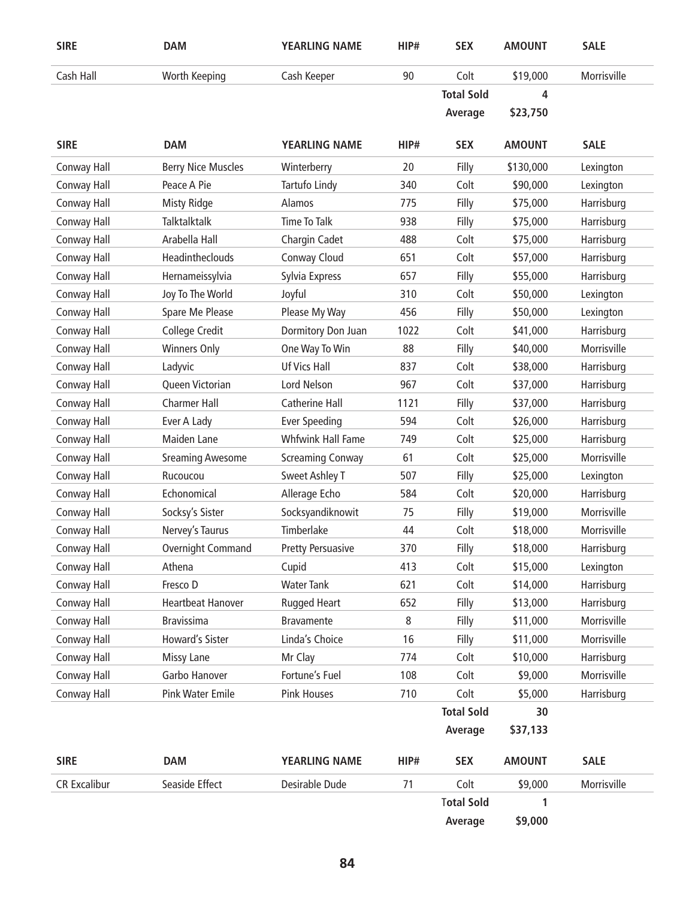| <b>SIRE</b>         | <b>DAM</b>                | <b>YEARLING NAME</b>     | HIP# | <b>SEX</b>        | <b>AMOUNT</b> | <b>SALE</b> |
|---------------------|---------------------------|--------------------------|------|-------------------|---------------|-------------|
| Cash Hall           | Worth Keeping             | Cash Keeper              | 90   | Colt              | \$19,000      | Morrisville |
|                     |                           |                          |      | <b>Total Sold</b> | 4             |             |
|                     |                           |                          |      | Average           | \$23,750      |             |
| <b>SIRE</b>         | <b>DAM</b>                | <b>YEARLING NAME</b>     | HIP# | <b>SEX</b>        | <b>AMOUNT</b> | <b>SALE</b> |
| Conway Hall         | <b>Berry Nice Muscles</b> | Winterberry              | 20   | Filly             | \$130,000     | Lexington   |
| Conway Hall         | Peace A Pie               | Tartufo Lindy            | 340  | Colt              | \$90,000      | Lexington   |
| Conway Hall         | <b>Misty Ridge</b>        | Alamos                   | 775  | Filly             | \$75,000      | Harrisburg  |
| Conway Hall         | Talktalktalk              | <b>Time To Talk</b>      | 938  | Filly             | \$75,000      | Harrisburg  |
| Conway Hall         | Arabella Hall             | Chargin Cadet            | 488  | Colt              | \$75,000      | Harrisburg  |
| Conway Hall         | Headintheclouds           | Conway Cloud             | 651  | Colt              | \$57,000      | Harrisburg  |
| Conway Hall         | Hernameissylvia           | Sylvia Express           | 657  | Filly             | \$55,000      | Harrisburg  |
| Conway Hall         | Joy To The World          | Joyful                   | 310  | Colt              | \$50,000      | Lexington   |
| Conway Hall         | Spare Me Please           | Please My Way            | 456  | Filly             | \$50,000      | Lexington   |
| Conway Hall         | College Credit            | Dormitory Don Juan       | 1022 | Colt              | \$41,000      | Harrisburg  |
| Conway Hall         | <b>Winners Only</b>       | One Way To Win           | 88   | Filly             | \$40,000      | Morrisville |
| Conway Hall         | Ladyvic                   | <b>Uf Vics Hall</b>      | 837  | Colt              | \$38,000      | Harrisburg  |
| Conway Hall         | Queen Victorian           | Lord Nelson              | 967  | Colt              | \$37,000      | Harrisburg  |
| Conway Hall         | <b>Charmer Hall</b>       | Catherine Hall           | 1121 | Filly             | \$37,000      | Harrisburg  |
| Conway Hall         | Ever A Lady               | <b>Ever Speeding</b>     | 594  | Colt              | \$26,000      | Harrisburg  |
| Conway Hall         | Maiden Lane               | <b>Whfwink Hall Fame</b> | 749  | Colt              | \$25,000      | Harrisburg  |
| Conway Hall         | <b>Sreaming Awesome</b>   | <b>Screaming Conway</b>  | 61   | Colt              | \$25,000      | Morrisville |
| Conway Hall         | Rucoucou                  | <b>Sweet Ashley T</b>    | 507  | Filly             | \$25,000      | Lexington   |
| Conway Hall         | Echonomical               | Allerage Echo            | 584  | Colt              | \$20,000      | Harrisburg  |
| Conway Hall         | Socksy's Sister           | Socksyandiknowit         | 75   | Filly             | \$19,000      | Morrisville |
| Conway Hall         | Nervey's Taurus           | Timberlake               | 44   | Colt              | \$18,000      | Morrisville |
| Conway Hall         | Overnight Command         | <b>Pretty Persuasive</b> | 370  | Filly             | \$18,000      | Harrisburg  |
| Conway Hall         | Athena                    | Cupid                    | 413  | Colt              | \$15,000      | Lexington   |
| Conway Hall         | Fresco D                  | <b>Water Tank</b>        | 621  | Colt              | \$14,000      | Harrisburg  |
| Conway Hall         | <b>Heartbeat Hanover</b>  | Rugged Heart             | 652  | Filly             | \$13,000      | Harrisburg  |
| Conway Hall         | <b>Bravissima</b>         | <b>Bravamente</b>        | 8    | Filly             | \$11,000      | Morrisville |
| Conway Hall         | Howard's Sister           | Linda's Choice           | 16   | Filly             | \$11,000      | Morrisville |
| Conway Hall         | <b>Missy Lane</b>         | Mr Clay                  | 774  | Colt              | \$10,000      | Harrisburg  |
| Conway Hall         | Garbo Hanover             | Fortune's Fuel           | 108  | Colt              | \$9,000       | Morrisville |
| Conway Hall         | <b>Pink Water Emile</b>   | <b>Pink Houses</b>       | 710  | Colt              | \$5,000       | Harrisburg  |
|                     |                           |                          |      | <b>Total Sold</b> | 30            |             |
|                     |                           |                          |      | Average           | \$37,133      |             |
| <b>SIRE</b>         | <b>DAM</b>                | YEARLING NAME            | HIP# | <b>SEX</b>        | <b>AMOUNT</b> | <b>SALE</b> |
| <b>CR Excalibur</b> | Seaside Effect            | Desirable Dude           | 71   | Colt              | \$9,000       | Morrisville |
|                     |                           |                          |      | <b>Total Sold</b> | 1             |             |
|                     |                           |                          |      | Average           | \$9,000       |             |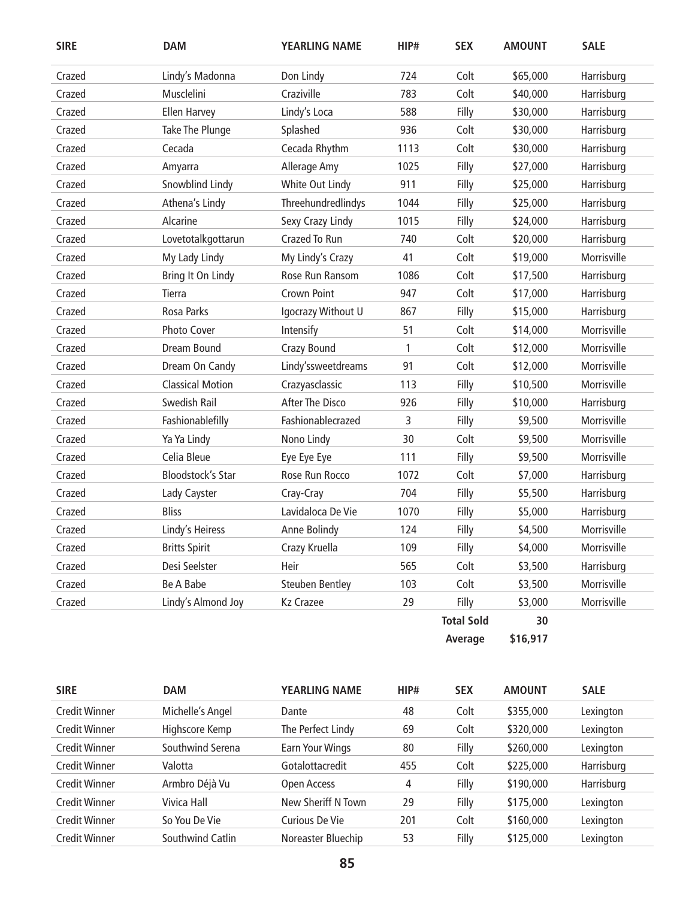| <b>SIRE</b> | <b>DAM</b>               | <b>YEARLING NAME</b>   | HIP# | <b>SEX</b>        | <b>AMOUNT</b> | <b>SALE</b> |
|-------------|--------------------------|------------------------|------|-------------------|---------------|-------------|
| Crazed      | Lindy's Madonna          | Don Lindy              | 724  | Colt              | \$65,000      | Harrisburg  |
| Crazed      | Musclelini               | Craziville             | 783  | Colt              | \$40,000      | Harrisburg  |
| Crazed      | <b>Ellen Harvey</b>      | Lindy's Loca           | 588  | Filly             | \$30,000      | Harrisburg  |
| Crazed      | Take The Plunge          | Splashed               | 936  | Colt              | \$30,000      | Harrisburg  |
| Crazed      | Cecada                   | Cecada Rhythm          | 1113 | Colt              | \$30,000      | Harrisburg  |
| Crazed      | Amyarra                  | Allerage Amy           | 1025 | Filly             | \$27,000      | Harrisburg  |
| Crazed      | Snowblind Lindy          | White Out Lindy        | 911  | Filly             | \$25,000      | Harrisburg  |
| Crazed      | Athena's Lindy           | Threehundredlindys     | 1044 | Filly             | \$25,000      | Harrisburg  |
| Crazed      | Alcarine                 | Sexy Crazy Lindy       | 1015 | Filly             | \$24,000      | Harrisburg  |
| Crazed      | Lovetotalkgottarun       | Crazed To Run          | 740  | Colt              | \$20,000      | Harrisburg  |
| Crazed      | My Lady Lindy            | My Lindy's Crazy       | 41   | Colt              | \$19,000      | Morrisville |
| Crazed      | Bring It On Lindy        | Rose Run Ransom        | 1086 | Colt              | \$17,500      | Harrisburg  |
| Crazed      | Tierra                   | Crown Point            | 947  | Colt              | \$17,000      | Harrisburg  |
| Crazed      | Rosa Parks               | Igocrazy Without U     | 867  | Filly             | \$15,000      | Harrisburg  |
| Crazed      | Photo Cover              | Intensify              | 51   | Colt              | \$14,000      | Morrisville |
| Crazed      | Dream Bound              | Crazy Bound            | 1    | Colt              | \$12,000      | Morrisville |
| Crazed      | Dream On Candy           | Lindy'ssweetdreams     | 91   | Colt              | \$12,000      | Morrisville |
| Crazed      | <b>Classical Motion</b>  | Crazyasclassic         | 113  | Filly             | \$10,500      | Morrisville |
| Crazed      | Swedish Rail             | <b>After The Disco</b> | 926  | Filly             | \$10,000      | Harrisburg  |
| Crazed      | Fashionablefilly         | Fashionablecrazed      | 3    | Filly             | \$9,500       | Morrisville |
| Crazed      | Ya Ya Lindy              | Nono Lindy             | 30   | Colt              | \$9,500       | Morrisville |
| Crazed      | Celia Bleue              | Eye Eye Eye            | 111  | Filly             | \$9,500       | Morrisville |
| Crazed      | <b>Bloodstock's Star</b> | Rose Run Rocco         | 1072 | Colt              | \$7,000       | Harrisburg  |
| Crazed      | Lady Cayster             | Cray-Cray              | 704  | Filly             | \$5,500       | Harrisburg  |
| Crazed      | <b>Bliss</b>             | Lavidaloca De Vie      | 1070 | Filly             | \$5,000       | Harrisburg  |
| Crazed      | Lindy's Heiress          | Anne Bolindy           | 124  | Filly             | \$4,500       | Morrisville |
| Crazed      | <b>Britts Spirit</b>     | Crazy Kruella          | 109  | Filly             | \$4,000       | Morrisville |
| Crazed      | Desi Seelster            | Heir                   | 565  | Colt              | \$3,500       | Harrisburg  |
| Crazed      | <b>Be A Babe</b>         | <b>Steuben Bentley</b> | 103  | Colt              | \$3,500       | Morrisville |
| Crazed      | Lindy's Almond Joy       | <b>Kz Crazee</b>       | 29   | Filly             | \$3,000       | Morrisville |
|             |                          |                        |      | <b>Total Sold</b> | 30            |             |
|             |                          |                        |      | Average           | \$16,917      |             |

| <b>SIRE</b>          | <b>DAM</b>       | YEARLING NAME      | HIP# | <b>SEX</b> | <b>AMOUNT</b> | <b>SALE</b> |
|----------------------|------------------|--------------------|------|------------|---------------|-------------|
| <b>Credit Winner</b> | Michelle's Angel | Dante              | 48   | Colt       | \$355,000     | Lexington   |
| Credit Winner        | Highscore Kemp   | The Perfect Lindy  | 69   | Colt       | \$320,000     | Lexington   |
| Credit Winner        | Southwind Serena | Earn Your Wings    | 80   | Filly      | \$260,000     | Lexington   |
| <b>Credit Winner</b> | Valotta          | Gotalottacredit    | 455  | Colt       | \$225,000     | Harrisburg  |
| <b>Credit Winner</b> | Armbro Déjà Vu   | Open Access        | 4    | Filly      | \$190,000     | Harrisburg  |
| <b>Credit Winner</b> | Vivica Hall      | New Sheriff N Town | 29   | Filly      | \$175,000     | Lexington   |
| <b>Credit Winner</b> | So You De Vie    | Curious De Vie     | 201  | Colt       | \$160,000     | Lexington   |
| <b>Credit Winner</b> | Southwind Catlin | Noreaster Bluechip | 53   | Filly      | \$125,000     | Lexington   |
|                      |                  |                    |      |            |               |             |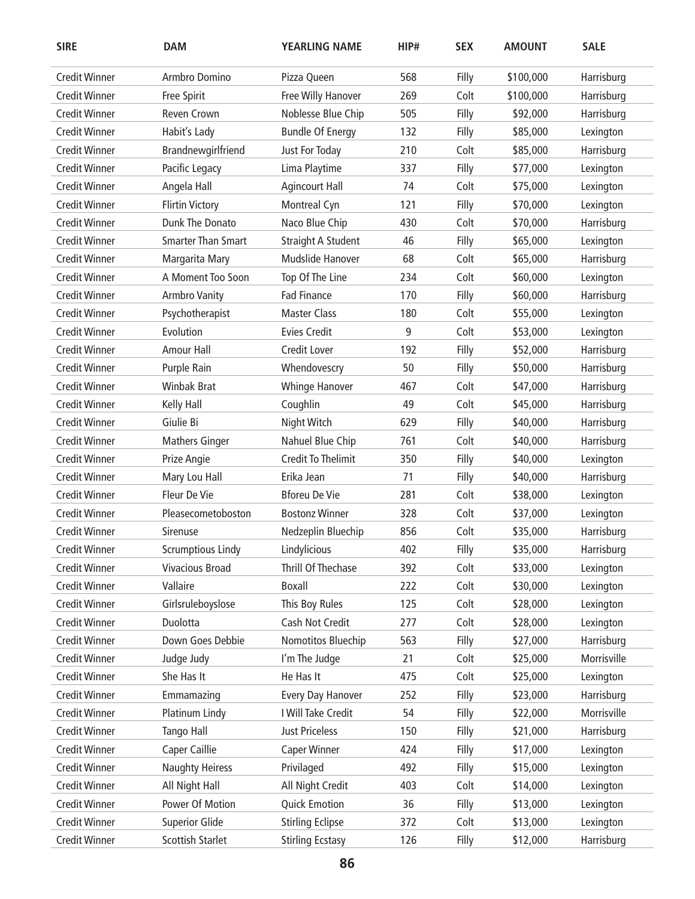| <b>SIRE</b>          | <b>DAM</b>                | <b>YEARLING NAME</b>      | HIP# | <b>SEX</b> | <b>AMOUNT</b> | <b>SALE</b> |
|----------------------|---------------------------|---------------------------|------|------------|---------------|-------------|
| <b>Credit Winner</b> | Armbro Domino             | Pizza Queen               | 568  | Filly      | \$100,000     | Harrisburg  |
| <b>Credit Winner</b> | Free Spirit               | Free Willy Hanover        | 269  | Colt       | \$100,000     | Harrisburg  |
| <b>Credit Winner</b> | Reven Crown               | Noblesse Blue Chip        | 505  | Filly      | \$92,000      | Harrisburg  |
| <b>Credit Winner</b> | Habit's Lady              | <b>Bundle Of Energy</b>   | 132  | Filly      | \$85,000      | Lexington   |
| <b>Credit Winner</b> | Brandnewgirlfriend        | Just For Today            | 210  | Colt       | \$85,000      | Harrisburg  |
| <b>Credit Winner</b> | Pacific Legacy            | Lima Playtime             | 337  | Filly      | \$77,000      | Lexington   |
| <b>Credit Winner</b> | Angela Hall               | <b>Agincourt Hall</b>     | 74   | Colt       | \$75,000      | Lexington   |
| <b>Credit Winner</b> | <b>Flirtin Victory</b>    | Montreal Cyn              | 121  | Filly      | \$70,000      | Lexington   |
| <b>Credit Winner</b> | Dunk The Donato           | Naco Blue Chip            | 430  | Colt       | \$70,000      | Harrisburg  |
| <b>Credit Winner</b> | <b>Smarter Than Smart</b> | <b>Straight A Student</b> | 46   | Filly      | \$65,000      | Lexington   |
| <b>Credit Winner</b> | Margarita Mary            | Mudslide Hanover          | 68   | Colt       | \$65,000      | Harrisburg  |
| <b>Credit Winner</b> | A Moment Too Soon         | Top Of The Line           | 234  | Colt       | \$60,000      | Lexington   |
| <b>Credit Winner</b> | <b>Armbro Vanity</b>      | <b>Fad Finance</b>        | 170  | Filly      | \$60,000      | Harrisburg  |
| <b>Credit Winner</b> | Psychotherapist           | <b>Master Class</b>       | 180  | Colt       | \$55,000      | Lexington   |
| <b>Credit Winner</b> | Evolution                 | <b>Evies Credit</b>       | 9    | Colt       | \$53,000      | Lexington   |
| <b>Credit Winner</b> | <b>Amour Hall</b>         | Credit Lover              | 192  | Filly      | \$52,000      | Harrisburg  |
| <b>Credit Winner</b> | Purple Rain               | Whendovescry              | 50   | Filly      | \$50,000      | Harrisburg  |
| <b>Credit Winner</b> | <b>Winbak Brat</b>        | <b>Whinge Hanover</b>     | 467  | Colt       | \$47,000      | Harrisburg  |
| <b>Credit Winner</b> | Kelly Hall                | Coughlin                  | 49   | Colt       | \$45,000      | Harrisburg  |
| <b>Credit Winner</b> | Giulie Bi                 | Night Witch               | 629  | Filly      | \$40,000      | Harrisburg  |
| <b>Credit Winner</b> | <b>Mathers Ginger</b>     | Nahuel Blue Chip          | 761  | Colt       | \$40,000      | Harrisburg  |
| <b>Credit Winner</b> | Prize Angie               | <b>Credit To Thelimit</b> | 350  | Filly      | \$40,000      | Lexington   |
| <b>Credit Winner</b> | Mary Lou Hall             | Erika Jean                | 71   | Filly      | \$40,000      | Harrisburg  |
| <b>Credit Winner</b> | Fleur De Vie              | <b>Bforeu De Vie</b>      | 281  | Colt       | \$38,000      | Lexington   |
| <b>Credit Winner</b> | Pleasecometoboston        | <b>Bostonz Winner</b>     | 328  | Colt       | \$37,000      | Lexington   |
| <b>Credit Winner</b> | <b>Sirenuse</b>           | Nedzeplin Bluechip        | 856  | Colt       | \$35,000      | Harrisburg  |
| <b>Credit Winner</b> | <b>Scrumptious Lindy</b>  | Lindylicious              | 402  | Filly      | \$35,000      | Harrisburg  |
| <b>Credit Winner</b> | <b>Vivacious Broad</b>    | Thrill Of Thechase        | 392  | Colt       | \$33,000      | Lexington   |
| <b>Credit Winner</b> | Vallaire                  | <b>Boxall</b>             | 222  | Colt       | \$30,000      | Lexington   |
| <b>Credit Winner</b> | Girlsruleboyslose         | This Boy Rules            | 125  | Colt       | \$28,000      | Lexington   |
| <b>Credit Winner</b> | Duolotta                  | Cash Not Credit           | 277  | Colt       | \$28,000      | Lexington   |
| <b>Credit Winner</b> | Down Goes Debbie          | Nomotitos Bluechip        | 563  | Filly      | \$27,000      | Harrisburg  |
| <b>Credit Winner</b> | Judge Judy                | I'm The Judge             | 21   | Colt       | \$25,000      | Morrisville |
| <b>Credit Winner</b> | She Has It                | He Has It                 | 475  | Colt       | \$25,000      | Lexington   |
| <b>Credit Winner</b> | Emmamazing                | Every Day Hanover         | 252  | Filly      | \$23,000      | Harrisburg  |
| <b>Credit Winner</b> | Platinum Lindy            | I Will Take Credit        | 54   | Filly      | \$22,000      | Morrisville |
| <b>Credit Winner</b> | Tango Hall                | <b>Just Priceless</b>     | 150  | Filly      | \$21,000      | Harrisburg  |
| <b>Credit Winner</b> | Caper Caillie             | <b>Caper Winner</b>       | 424  | Filly      | \$17,000      | Lexington   |
| <b>Credit Winner</b> | <b>Naughty Heiress</b>    | Privilaged                | 492  | Filly      | \$15,000      | Lexington   |
| <b>Credit Winner</b> | All Night Hall            | All Night Credit          | 403  | Colt       | \$14,000      | Lexington   |
| <b>Credit Winner</b> | Power Of Motion           | <b>Quick Emotion</b>      | 36   | Filly      | \$13,000      | Lexington   |
| <b>Credit Winner</b> | <b>Superior Glide</b>     | <b>Stirling Eclipse</b>   | 372  | Colt       | \$13,000      | Lexington   |
| <b>Credit Winner</b> | Scottish Starlet          | <b>Stirling Ecstasy</b>   | 126  | Filly      | \$12,000      | Harrisburg  |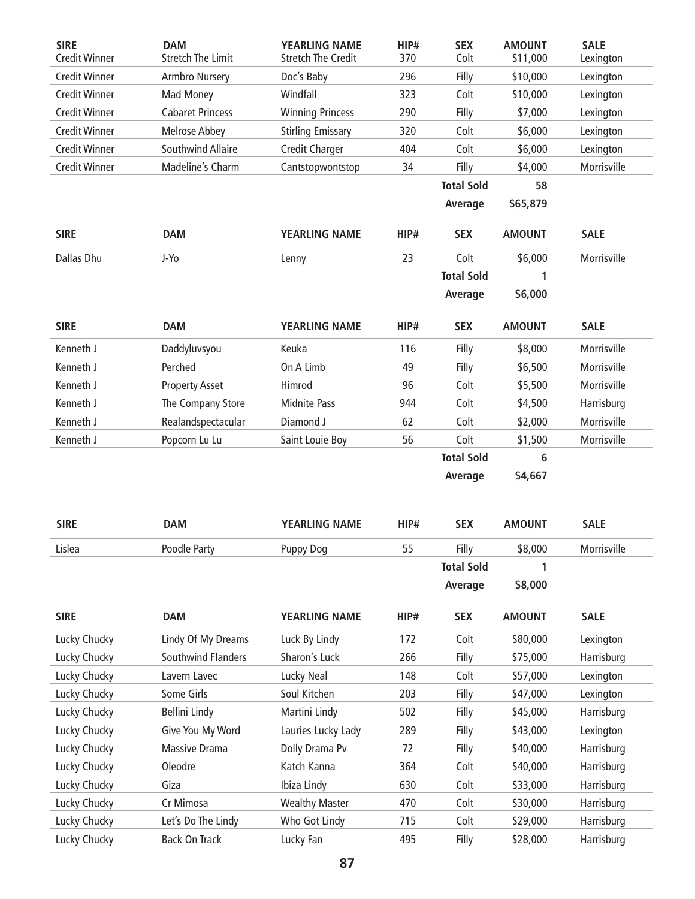| <b>SIRE</b><br><b>Credit Winner</b> | <b>DAM</b><br><b>Stretch The Limit</b> | <b>YEARLING NAME</b><br><b>Stretch The Credit</b> | HIP#<br>370 | <b>SEX</b><br>Colt | <b>AMOUNT</b><br>\$11,000 | <b>SALE</b><br>Lexington |
|-------------------------------------|----------------------------------------|---------------------------------------------------|-------------|--------------------|---------------------------|--------------------------|
| <b>Credit Winner</b>                | Armbro Nursery                         | Doc's Baby                                        | 296         | Filly              | \$10,000                  | Lexington                |
| <b>Credit Winner</b>                | Mad Money                              | Windfall                                          | 323         | Colt               | \$10,000                  | Lexington                |
| <b>Credit Winner</b>                | <b>Cabaret Princess</b>                | <b>Winning Princess</b>                           | 290         | Filly              | \$7,000                   | Lexington                |
| <b>Credit Winner</b>                | <b>Melrose Abbey</b>                   | <b>Stirling Emissary</b>                          | 320         | Colt               | \$6,000                   | Lexington                |
| <b>Credit Winner</b>                | <b>Southwind Allaire</b>               | Credit Charger                                    | 404         | Colt               | \$6,000                   | Lexington                |
| <b>Credit Winner</b>                | Madeline's Charm                       | Cantstopwontstop                                  | 34          | Filly              | \$4,000                   | Morrisville              |
|                                     |                                        |                                                   |             | <b>Total Sold</b>  | 58                        |                          |
|                                     |                                        |                                                   |             | Average            | \$65,879                  |                          |
| <b>SIRE</b>                         | <b>DAM</b>                             | YEARLING NAME                                     | HIP#        | <b>SEX</b>         | <b>AMOUNT</b>             | <b>SALE</b>              |
| Dallas Dhu                          | J-Yo                                   | Lenny                                             | 23          | Colt               | \$6,000                   | Morrisville              |
|                                     |                                        |                                                   |             | <b>Total Sold</b>  | 1                         |                          |
|                                     |                                        |                                                   |             | Average            | \$6,000                   |                          |
|                                     |                                        |                                                   |             |                    |                           |                          |
| <b>SIRE</b>                         | <b>DAM</b>                             | <b>YEARLING NAME</b>                              | HIP#        | <b>SEX</b>         | <b>AMOUNT</b>             | <b>SALE</b>              |
| Kenneth J                           | Daddyluvsyou                           | Keuka                                             | 116         | Filly              | \$8,000                   | Morrisville              |
| Kenneth J                           | Perched                                | On A Limb                                         | 49          | Filly              | \$6,500                   | Morrisville              |
| Kenneth J                           | <b>Property Asset</b>                  | Himrod                                            | 96          | Colt               | \$5,500                   | Morrisville              |
| Kenneth J                           | The Company Store                      | <b>Midnite Pass</b>                               | 944         | Colt               | \$4,500                   | Harrisburg               |
| Kenneth J                           | Realandspectacular                     | Diamond J                                         | 62          | Colt               | \$2,000                   | Morrisville              |
| Kenneth J                           | Popcorn Lu Lu                          | Saint Louie Boy                                   | 56          | Colt               | \$1,500                   | Morrisville              |
|                                     |                                        |                                                   |             | <b>Total Sold</b>  | 6                         |                          |
|                                     |                                        |                                                   |             | Average            | \$4,667                   |                          |
|                                     |                                        |                                                   |             |                    |                           |                          |
| <b>SIRE</b>                         | <b>DAM</b>                             | <b>YEARLING NAME</b>                              | HIP#        | <b>SEX</b>         | <b>AMOUNT</b>             | <b>SALE</b>              |
| Lislea                              | Poodle Party                           | <b>Puppy Dog</b>                                  | 55          | Filly              | \$8,000                   | Morrisville              |
|                                     |                                        |                                                   |             | <b>Total Sold</b>  |                           |                          |
|                                     |                                        |                                                   |             | Average            | \$8,000                   |                          |
|                                     |                                        |                                                   |             |                    |                           |                          |
| <b>SIRE</b>                         | <b>DAM</b>                             | <b>YEARLING NAME</b>                              | HIP#        | <b>SEX</b>         | <b>AMOUNT</b>             | <b>SALE</b>              |
| Lucky Chucky                        | Lindy Of My Dreams                     | Luck By Lindy                                     | 172         | Colt               | \$80,000                  | Lexington                |
| Lucky Chucky                        | Southwind Flanders                     | Sharon's Luck                                     | 266         | Filly              | \$75,000                  | Harrisburg               |
| Lucky Chucky                        | Lavern Lavec                           | Lucky Neal                                        | 148         | Colt               | \$57,000                  | Lexington                |
| Lucky Chucky                        | Some Girls                             | Soul Kitchen                                      | 203         | Filly              | \$47,000                  | Lexington                |
| Lucky Chucky                        | <b>Bellini Lindy</b>                   | Martini Lindy                                     | 502         | Filly              | \$45,000                  | Harrisburg               |
| Lucky Chucky                        | Give You My Word                       | Lauries Lucky Lady                                | 289         | Filly              | \$43,000                  | Lexington                |
| Lucky Chucky                        | <b>Massive Drama</b>                   | Dolly Drama Pv                                    | 72          | Filly              | \$40,000                  | Harrisburg               |
| Lucky Chucky                        |                                        |                                                   |             |                    |                           |                          |
|                                     | Oleodre                                | Katch Kanna                                       | 364         | Colt               | \$40,000                  | Harrisburg               |
| Lucky Chucky                        | Giza                                   | Ibiza Lindy                                       | 630         | Colt               | \$33,000                  | Harrisburg               |
| Lucky Chucky                        | Cr Mimosa                              | <b>Wealthy Master</b>                             | 470         | Colt               | \$30,000                  | Harrisburg               |
| Lucky Chucky                        | Let's Do The Lindy                     | Who Got Lindy                                     | 715         | Colt               | \$29,000                  | Harrisburg               |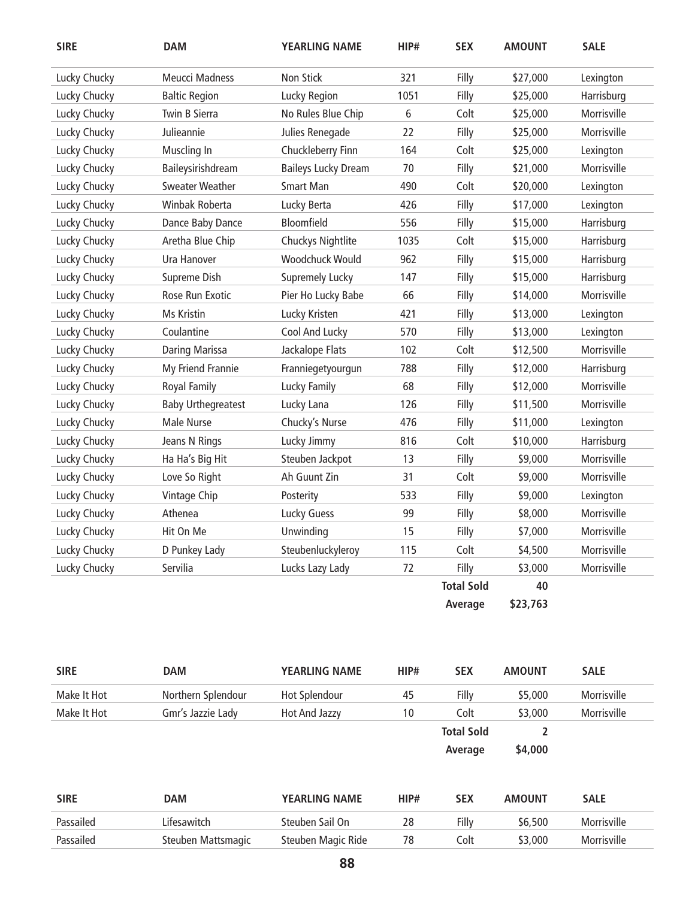| <b>SIRE</b>  | <b>DAM</b>                | <b>YEARLING NAME</b>       | HIP# | <b>SEX</b>        | <b>AMOUNT</b> | <b>SALE</b> |
|--------------|---------------------------|----------------------------|------|-------------------|---------------|-------------|
| Lucky Chucky | <b>Meucci Madness</b>     | Non Stick                  | 321  | Filly             | \$27,000      | Lexington   |
| Lucky Chucky | <b>Baltic Region</b>      | Lucky Region               | 1051 | Filly             | \$25,000      | Harrisburg  |
| Lucky Chucky | Twin B Sierra             | No Rules Blue Chip         | 6    | Colt              | \$25,000      | Morrisville |
| Lucky Chucky | Julieannie                | Julies Renegade            | 22   | Filly             | \$25,000      | Morrisville |
| Lucky Chucky | Muscling In               | Chuckleberry Finn          | 164  | Colt              | \$25,000      | Lexington   |
| Lucky Chucky | Baileysirishdream         | <b>Baileys Lucky Dream</b> | 70   | Filly             | \$21,000      | Morrisville |
| Lucky Chucky | <b>Sweater Weather</b>    | <b>Smart Man</b>           | 490  | Colt              | \$20,000      | Lexington   |
| Lucky Chucky | Winbak Roberta            | Lucky Berta                | 426  | Filly             | \$17,000      | Lexington   |
| Lucky Chucky | Dance Baby Dance          | Bloomfield                 | 556  | Filly             | \$15,000      | Harrisburg  |
| Lucky Chucky | Aretha Blue Chip          | Chuckys Nightlite          | 1035 | Colt              | \$15,000      | Harrisburg  |
| Lucky Chucky | Ura Hanover               | Woodchuck Would            | 962  | Filly             | \$15,000      | Harrisburg  |
| Lucky Chucky | Supreme Dish              | <b>Supremely Lucky</b>     | 147  | Filly             | \$15,000      | Harrisburg  |
| Lucky Chucky | Rose Run Exotic           | Pier Ho Lucky Babe         | 66   | Filly             | \$14,000      | Morrisville |
| Lucky Chucky | Ms Kristin                | Lucky Kristen              | 421  | Filly             | \$13,000      | Lexington   |
| Lucky Chucky | Coulantine                | Cool And Lucky             | 570  | Filly             | \$13,000      | Lexington   |
| Lucky Chucky | Daring Marissa            | Jackalope Flats            | 102  | Colt              | \$12,500      | Morrisville |
| Lucky Chucky | My Friend Frannie         | Franniegetyourgun          | 788  | Filly             | \$12,000      | Harrisburg  |
| Lucky Chucky | Royal Family              | Lucky Family               | 68   | Filly             | \$12,000      | Morrisville |
| Lucky Chucky | <b>Baby Urthegreatest</b> | Lucky Lana                 | 126  | Filly             | \$11,500      | Morrisville |
| Lucky Chucky | Male Nurse                | Chucky's Nurse             | 476  | Filly             | \$11,000      | Lexington   |
| Lucky Chucky | Jeans N Rings             | Lucky Jimmy                | 816  | Colt              | \$10,000      | Harrisburg  |
| Lucky Chucky | Ha Ha's Big Hit           | Steuben Jackpot            | 13   | Filly             | \$9,000       | Morrisville |
| Lucky Chucky | Love So Right             | Ah Guunt Zin               | 31   | Colt              | \$9,000       | Morrisville |
| Lucky Chucky | Vintage Chip              | Posterity                  | 533  | Filly             | \$9,000       | Lexington   |
| Lucky Chucky | Athenea                   | Lucky Guess                | 99   | Filly             | \$8,000       | Morrisville |
| Lucky Chucky | Hit On Me                 | Unwinding                  | 15   | Filly             | \$7,000       | Morrisville |
| Lucky Chucky | D Punkey Lady             | Steubenluckyleroy          | 115  | Colt              | \$4,500       | Morrisville |
| Lucky Chucky | Servilia                  | Lucks Lazy Lady            | 72   | Filly             | \$3,000       | Morrisville |
|              |                           |                            |      | <b>Total Sold</b> | 40            |             |
|              |                           |                            |      | Average           | \$23,763      |             |
|              |                           |                            |      |                   |               |             |

| <b>SIRE</b> | <b>DAM</b>         | <b>YEARLING NAME</b> | HIP# | <b>SEX</b>        | <b>AMOUNT</b> | <b>SALE</b> |
|-------------|--------------------|----------------------|------|-------------------|---------------|-------------|
| Make It Hot | Northern Splendour | Hot Splendour        | 45   | Filly             | \$5,000       | Morrisville |
| Make It Hot | Gmr's Jazzie Lady  | Hot And Jazzy        | 10   | Colt              | \$3,000       | Morrisville |
|             |                    |                      |      | <b>Total Sold</b> |               |             |
|             |                    |                      |      | Average           | \$4,000       |             |
|             |                    |                      |      |                   |               |             |

| SIRE      | DAM                | <b>YEARLING NAME</b> | HIP# | SEX   | <b>AMOUNT</b> | <b>SALE</b> |
|-----------|--------------------|----------------------|------|-------|---------------|-------------|
| Passailed | Lifesawitch        | Steuben Sail On      | 28   | Filly | \$6.500       | Morrisville |
| Passailed | Steuben Mattsmagic | Steuben Magic Ride   | 78   | Colt  | \$3.000       | Morrisville |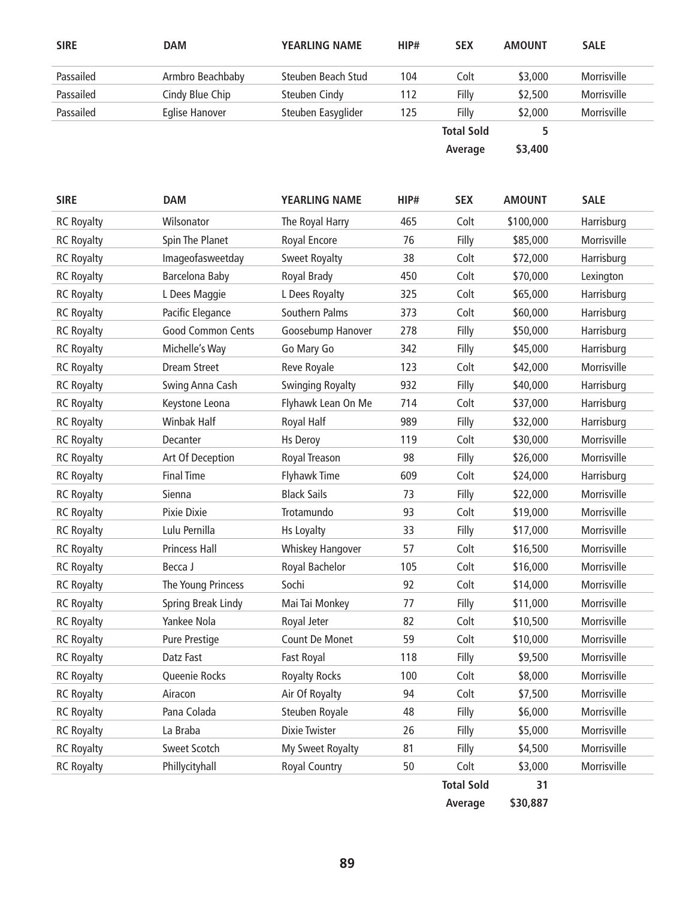| <b>SIRE</b>       | <b>DAM</b>            | <b>YEARLING NAME</b>    | HIP# | <b>SEX</b>        | <b>AMOUNT</b> | <b>SALE</b> |
|-------------------|-----------------------|-------------------------|------|-------------------|---------------|-------------|
| Passailed         | Armbro Beachbaby      | Steuben Beach Stud      | 104  | Colt              | \$3,000       | Morrisville |
| Passailed         | Cindy Blue Chip       | <b>Steuben Cindy</b>    | 112  | Filly             | \$2,500       | Morrisville |
| Passailed         | <b>Eglise Hanover</b> | Steuben Easyglider      | 125  | Filly             | \$2,000       | Morrisville |
|                   |                       |                         |      | <b>Total Sold</b> | 5             |             |
|                   |                       |                         |      | Average           | \$3,400       |             |
|                   |                       |                         |      |                   |               |             |
|                   |                       |                         |      |                   |               |             |
| <b>SIRE</b>       | <b>DAM</b>            | <b>YEARLING NAME</b>    | HIP# | <b>SEX</b>        | <b>AMOUNT</b> | <b>SALE</b> |
| <b>RC Royalty</b> | Wilsonator            | The Royal Harry         | 465  | Colt              | \$100,000     | Harrisburg  |
| <b>RC Royalty</b> | Spin The Planet       | Royal Encore            | 76   | Filly             | \$85,000      | Morrisville |
| <b>RC Royalty</b> | Imageofasweetday      | <b>Sweet Royalty</b>    | 38   | Colt              | \$72,000      | Harrisburg  |
| <b>RC Royalty</b> | Barcelona Baby        | Royal Brady             | 450  | Colt              | \$70,000      | Lexington   |
| <b>RC Royalty</b> | L Dees Maggie         | L Dees Royalty          | 325  | Colt              | \$65,000      | Harrisburg  |
| <b>RC Royalty</b> | Pacific Elegance      | Southern Palms          | 373  | Colt              | \$60,000      | Harrisburg  |
| <b>RC Royalty</b> | Good Common Cents     | Goosebump Hanover       | 278  | Filly             | \$50,000      | Harrisburg  |
| <b>RC Royalty</b> | Michelle's Way        | Go Mary Go              | 342  | Filly             | \$45,000      | Harrisburg  |
| <b>RC Royalty</b> | <b>Dream Street</b>   | Reve Royale             | 123  | Colt              | \$42,000      | Morrisville |
| <b>RC Royalty</b> | Swing Anna Cash       | <b>Swinging Royalty</b> | 932  | Filly             | \$40,000      | Harrisburg  |
| <b>RC Royalty</b> | Keystone Leona        | Flyhawk Lean On Me      | 714  | Colt              | \$37,000      | Harrisburg  |
| <b>RC Royalty</b> | <b>Winbak Half</b>    | Royal Half              | 989  | Filly             | \$32,000      | Harrisburg  |
| <b>RC Royalty</b> | Decanter              | <b>Hs Deroy</b>         | 119  | Colt              | \$30,000      | Morrisville |
| <b>RC Royalty</b> | Art Of Deception      | Royal Treason           | 98   | Filly             | \$26,000      | Morrisville |
| <b>RC Royalty</b> | <b>Final Time</b>     | <b>Flyhawk Time</b>     | 609  | Colt              | \$24,000      | Harrisburg  |
| <b>RC Royalty</b> | Sienna                | <b>Black Sails</b>      | 73   | Filly             | \$22,000      | Morrisville |
| <b>RC Royalty</b> | Pixie Dixie           | Trotamundo              | 93   | Colt              | \$19,000      | Morrisville |
| <b>RC Royalty</b> | Lulu Pernilla         | Hs Loyalty              | 33   | Filly             | \$17,000      | Morrisville |
| <b>RC Royalty</b> | Princess Hall         | Whiskey Hangover        | 57   | Colt              | \$16,500      | Morrisville |
| <b>RC Royalty</b> | Becca J               | Royal Bachelor          | 105  | Colt              | \$16,000      | Morrisville |
| <b>RC Royalty</b> | The Young Princess    | Sochi                   | 92   | Colt              | \$14,000      | Morrisville |
| <b>RC Royalty</b> | Spring Break Lindy    | Mai Tai Monkey          | 77   | Filly             | \$11,000      | Morrisville |
| <b>RC Royalty</b> | Yankee Nola           | Royal Jeter             | 82   | Colt              | \$10,500      | Morrisville |
| <b>RC Royalty</b> | Pure Prestige         | Count De Monet          | 59   | Colt              | \$10,000      | Morrisville |

 **Average \$30,887**

**Total Sold 31** 

RC Royalty Datz Fast Fast Royal 118 Filly \$9,500 Morrisville RC Royalty **Rould Accept Collect Access** Royalty Rocks **100** Colt \$8,000 Morrisville RC Royalty **Airacon** Air Of Royalty 94 Colt \$7,500 Morrisville RC Royalty **Pana Colada** Steuben Royale **48** Filly \$6,000 Morrisville RC Royalty **La Braba Dixie Twister** 26 Filly \$5,000 Morrisville RC Royalty Sweet Scotch My Sweet Royalty 81 Filly \$4,500 Morrisville RC Royalty **Phillycityhall** Royal Country 50 Colt \$3,000 Morrisville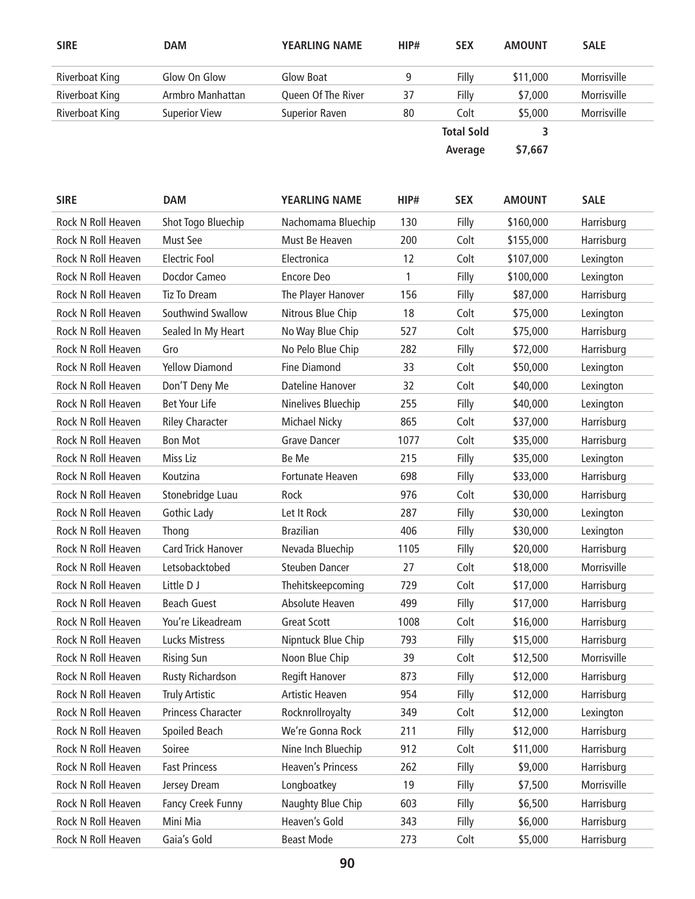| <b>SIRE</b>        | <b>DAM</b>            | <b>YEARLING NAME</b>  | HIP# | <b>SEX</b>        | <b>AMOUNT</b> | <b>SALE</b> |
|--------------------|-----------------------|-----------------------|------|-------------------|---------------|-------------|
| Riverboat King     | Glow On Glow          | Glow Boat             | 9    | Filly             | \$11,000      | Morrisville |
| Riverboat King     | Armbro Manhattan      | Queen Of The River    | 37   | Filly             | \$7,000       | Morrisville |
| Riverboat King     | <b>Superior View</b>  | <b>Superior Raven</b> | 80   | Colt              | \$5,000       | Morrisville |
|                    |                       |                       |      | <b>Total Sold</b> | 3             |             |
|                    |                       |                       |      | Average           | \$7,667       |             |
| <b>SIRE</b>        | <b>DAM</b>            | <b>YEARLING NAME</b>  | HIP# | <b>SEX</b>        | <b>AMOUNT</b> | <b>SALE</b> |
| Rock N Roll Heaven | Shot Togo Bluechip    | Nachomama Bluechip    | 130  | Filly             | \$160,000     | Harrisburg  |
| Rock N Roll Heaven | Must See              | Must Be Heaven        | 200  | Colt              | \$155,000     | Harrisburg  |
| Rock N Roll Heaven | <b>Electric Fool</b>  | Electronica           | 12   | Colt              | \$107,000     | Lexington   |
| Rock N Roll Heaven | Docdor Cameo          | Encore Deo            | 1    | Filly             | \$100,000     | Lexington   |
| Rock N Roll Heaven | Tiz To Dream          | The Player Hanover    | 156  | Filly             | \$87,000      | Harrisburg  |
| Rock N Roll Heaven | Southwind Swallow     | Nitrous Blue Chip     | 18   | Colt              | \$75,000      | Lexington   |
| Rock N Roll Heaven | Sealed In My Heart    | No Way Blue Chip      | 527  | Colt              | \$75,000      | Harrisburg  |
| Rock N Roll Heaven | Gro                   | No Pelo Blue Chip     | 282  | Filly             | \$72,000      | Harrisburg  |
| Rock N Roll Heaven | <b>Yellow Diamond</b> | <b>Fine Diamond</b>   | 33   | Colt              | \$50,000      | Lexington   |

| Rock N Roll Heaven | Sealed In My Heart        | No Way Blue Chip         | 527  | Colt  | \$75,000 | Harrisburg  |
|--------------------|---------------------------|--------------------------|------|-------|----------|-------------|
| Rock N Roll Heaven | Gro                       | No Pelo Blue Chip        | 282  | Filly | \$72,000 | Harrisburg  |
| Rock N Roll Heaven | <b>Yellow Diamond</b>     | <b>Fine Diamond</b>      | 33   | Colt  | \$50,000 | Lexington   |
| Rock N Roll Heaven | Don'T Deny Me             | Dateline Hanover         | 32   | Colt  | \$40,000 | Lexington   |
| Rock N Roll Heaven | <b>Bet Your Life</b>      | Ninelives Bluechip       | 255  | Filly | \$40,000 | Lexington   |
| Rock N Roll Heaven | <b>Riley Character</b>    | <b>Michael Nicky</b>     | 865  | Colt  | \$37,000 | Harrisburg  |
| Rock N Roll Heaven | <b>Bon Mot</b>            | <b>Grave Dancer</b>      | 1077 | Colt  | \$35,000 | Harrisburg  |
| Rock N Roll Heaven | Miss Liz                  | Be Me                    | 215  | Filly | \$35,000 | Lexington   |
| Rock N Roll Heaven | Koutzina                  | Fortunate Heaven         | 698  | Filly | \$33,000 | Harrisburg  |
| Rock N Roll Heaven | Stonebridge Luau          | Rock                     | 976  | Colt  | \$30,000 | Harrisburg  |
| Rock N Roll Heaven | Gothic Lady               | Let It Rock              | 287  | Filly | \$30,000 | Lexington   |
| Rock N Roll Heaven | Thong                     | <b>Brazilian</b>         | 406  | Filly | \$30,000 | Lexington   |
| Rock N Roll Heaven | <b>Card Trick Hanover</b> | Nevada Bluechip          | 1105 | Filly | \$20,000 | Harrisburg  |
| Rock N Roll Heaven | Letsobacktobed            | <b>Steuben Dancer</b>    | 27   | Colt  | \$18,000 | Morrisville |
| Rock N Roll Heaven | Little D J                | Thehitskeepcoming        | 729  | Colt  | \$17,000 | Harrisburg  |
| Rock N Roll Heaven | <b>Beach Guest</b>        | Absolute Heaven          | 499  | Filly | \$17,000 | Harrisburg  |
| Rock N Roll Heaven | You're Likeadream         | <b>Great Scott</b>       | 1008 | Colt  | \$16,000 | Harrisburg  |
| Rock N Roll Heaven | <b>Lucks Mistress</b>     | Nipntuck Blue Chip       | 793  | Filly | \$15,000 | Harrisburg  |
| Rock N Roll Heaven | <b>Rising Sun</b>         | Noon Blue Chip           | 39   | Colt  | \$12,500 | Morrisville |
| Rock N Roll Heaven | Rusty Richardson          | Regift Hanover           | 873  | Filly | \$12,000 | Harrisburg  |
| Rock N Roll Heaven | <b>Truly Artistic</b>     | Artistic Heaven          | 954  | Filly | \$12,000 | Harrisburg  |
| Rock N Roll Heaven | Princess Character        | Rocknrollroyalty         | 349  | Colt  | \$12,000 | Lexington   |
| Rock N Roll Heaven | Spoiled Beach             | We're Gonna Rock         | 211  | Filly | \$12,000 | Harrisburg  |
| Rock N Roll Heaven | Soiree                    | Nine Inch Bluechip       | 912  | Colt  | \$11,000 | Harrisburg  |
| Rock N Roll Heaven | <b>Fast Princess</b>      | <b>Heaven's Princess</b> | 262  | Filly | \$9,000  | Harrisburg  |
| Rock N Roll Heaven | Jersey Dream              | Longboatkey              | 19   | Filly | \$7,500  | Morrisville |
| Rock N Roll Heaven | Fancy Creek Funny         | Naughty Blue Chip        | 603  | Filly | \$6,500  | Harrisburg  |
| Rock N Roll Heaven | Mini Mia                  | Heaven's Gold            | 343  | Filly | \$6,000  | Harrisburg  |
| Rock N Roll Heaven | Gaia's Gold               | <b>Beast Mode</b>        | 273  | Colt  | \$5,000  | Harrisburg  |
|                    |                           |                          |      |       |          |             |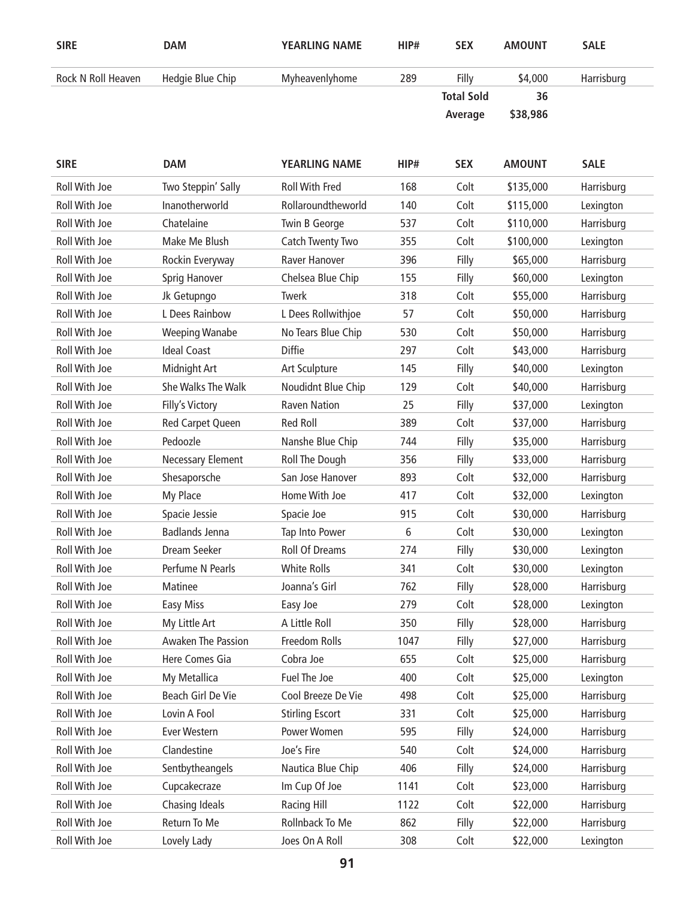| <b>SIRE</b>        | <b>DAM</b>       | <b>YEARLING NAME</b> | HIP# | <b>SEX</b>        | <b>AMOUNT</b> | <b>SALE</b> |
|--------------------|------------------|----------------------|------|-------------------|---------------|-------------|
| Rock N Roll Heaven | Hedgie Blue Chip | Myheavenlyhome       | 289  | Filly             | \$4,000       | Harrisburg  |
|                    |                  |                      |      | <b>Total Sold</b> | 36            |             |
|                    |                  |                      |      | Average           | \$38,986      |             |

| <b>SIRE</b>          | <b>DAM</b>                | <b>YEARLING NAME</b>   | HIP# | <b>SEX</b> | <b>AMOUNT</b> | <b>SALE</b> |
|----------------------|---------------------------|------------------------|------|------------|---------------|-------------|
| <b>Roll With Joe</b> | Two Steppin' Sally        | <b>Roll With Fred</b>  | 168  | Colt       | \$135,000     | Harrisburg  |
| Roll With Joe        | Inanotherworld            | Rollaroundtheworld     | 140  | Colt       | \$115,000     | Lexington   |
| Roll With Joe        | Chatelaine                | Twin B George          | 537  | Colt       | \$110,000     | Harrisburg  |
| Roll With Joe        | Make Me Blush             | Catch Twenty Two       | 355  | Colt       | \$100,000     | Lexington   |
| Roll With Joe        | Rockin Everyway           | Raver Hanover          | 396  | Filly      | \$65,000      | Harrisburg  |
| Roll With Joe        | Sprig Hanover             | Chelsea Blue Chip      | 155  | Filly      | \$60,000      | Lexington   |
| Roll With Joe        | Jk Getupngo               | Twerk                  | 318  | Colt       | \$55,000      | Harrisburg  |
| Roll With Joe        | L Dees Rainbow            | L Dees Rollwithjoe     | 57   | Colt       | \$50,000      | Harrisburg  |
| Roll With Joe        | <b>Weeping Wanabe</b>     | No Tears Blue Chip     | 530  | Colt       | \$50,000      | Harrisburg  |
| Roll With Joe        | <b>Ideal Coast</b>        | <b>Diffie</b>          | 297  | Colt       | \$43,000      | Harrisburg  |
| Roll With Joe        | Midnight Art              | Art Sculpture          | 145  | Filly      | \$40,000      | Lexington   |
| Roll With Joe        | She Walks The Walk        | Noudidnt Blue Chip     | 129  | Colt       | \$40,000      | Harrisburg  |
| Roll With Joe        | Filly's Victory           | <b>Raven Nation</b>    | 25   | Filly      | \$37,000      | Lexington   |
| Roll With Joe        | Red Carpet Queen          | <b>Red Roll</b>        | 389  | Colt       | \$37,000      | Harrisburg  |
| Roll With Joe        | Pedoozle                  | Nanshe Blue Chip       | 744  | Filly      | \$35,000      | Harrisburg  |
| Roll With Joe        | Necessary Element         | Roll The Dough         | 356  | Filly      | \$33,000      | Harrisburg  |
| Roll With Joe        | Shesaporsche              | San Jose Hanover       | 893  | Colt       | \$32,000      | Harrisburg  |
| Roll With Joe        | My Place                  | Home With Joe          | 417  | Colt       | \$32,000      | Lexington   |
| Roll With Joe        | Spacie Jessie             | Spacie Joe             | 915  | Colt       | \$30,000      | Harrisburg  |
| Roll With Joe        | <b>Badlands Jenna</b>     | Tap Into Power         | 6    | Colt       | \$30,000      | Lexington   |
| Roll With Joe        | Dream Seeker              | <b>Roll Of Dreams</b>  | 274  | Filly      | \$30,000      | Lexington   |
| Roll With Joe        | Perfume N Pearls          | <b>White Rolls</b>     | 341  | Colt       | \$30,000      | Lexington   |
| Roll With Joe        | Matinee                   | Joanna's Girl          | 762  | Filly      | \$28,000      | Harrisburg  |
| Roll With Joe        | <b>Easy Miss</b>          | Easy Joe               | 279  | Colt       | \$28,000      | Lexington   |
| Roll With Joe        | My Little Art             | A Little Roll          | 350  | Filly      | \$28,000      | Harrisburg  |
| Roll With Joe        | <b>Awaken The Passion</b> | Freedom Rolls          | 1047 | Filly      | \$27,000      | Harrisburg  |
| Roll With Joe        | Here Comes Gia            | Cobra Joe              | 655  | Colt       | \$25,000      | Harrisburg  |
| Roll With Joe        | My Metallica              | Fuel The Joe           | 400  | Colt       | \$25,000      | Lexington   |
| Roll With Joe        | Beach Girl De Vie         | Cool Breeze De Vie     | 498  | Colt       | \$25,000      | Harrisburg  |
| Roll With Joe        | Lovin A Fool              | <b>Stirling Escort</b> | 331  | Colt       | \$25,000      | Harrisburg  |
| Roll With Joe        | Ever Western              | Power Women            | 595  | Filly      | \$24,000      | Harrisburg  |
| Roll With Joe        | Clandestine               | Joe's Fire             | 540  | Colt       | \$24,000      | Harrisburg  |
| Roll With Joe        | Sentbytheangels           | Nautica Blue Chip      | 406  | Filly      | \$24,000      | Harrisburg  |
| Roll With Joe        | Cupcakecraze              | Im Cup Of Joe          | 1141 | Colt       | \$23,000      | Harrisburg  |
| Roll With Joe        | Chasing Ideals            | Racing Hill            | 1122 | Colt       | \$22,000      | Harrisburg  |
| Roll With Joe        | Return To Me              | Rollnback To Me        | 862  | Filly      | \$22,000      | Harrisburg  |
| Roll With Joe        | Lovely Lady               | Joes On A Roll         | 308  | Colt       | \$22,000      | Lexington   |